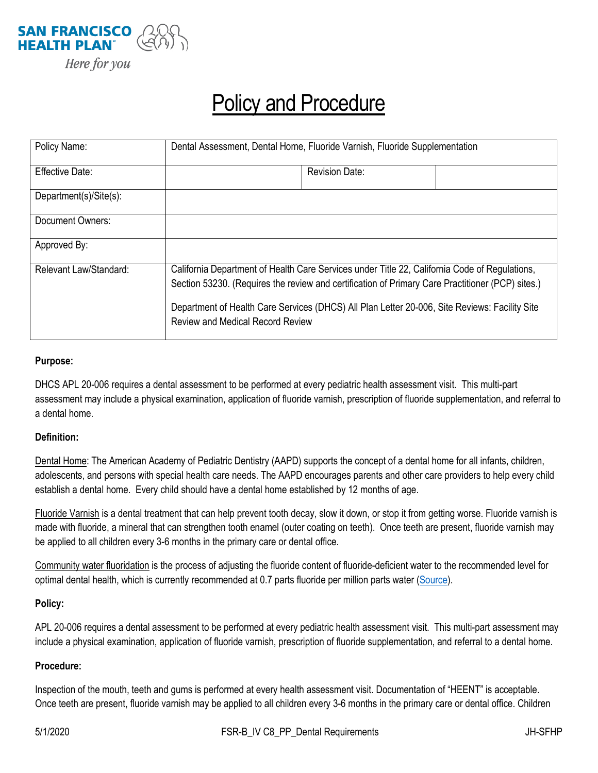

# Policy and Procedure

| Policy Name:           | Dental Assessment, Dental Home, Fluoride Varnish, Fluoride Supplementation                                                                                                                                                                                                                                                                    |
|------------------------|-----------------------------------------------------------------------------------------------------------------------------------------------------------------------------------------------------------------------------------------------------------------------------------------------------------------------------------------------|
| <b>Effective Date:</b> | <b>Revision Date:</b>                                                                                                                                                                                                                                                                                                                         |
| Department(s)/Site(s): |                                                                                                                                                                                                                                                                                                                                               |
| Document Owners:       |                                                                                                                                                                                                                                                                                                                                               |
| Approved By:           |                                                                                                                                                                                                                                                                                                                                               |
| Relevant Law/Standard: | California Department of Health Care Services under Title 22, California Code of Regulations,<br>Section 53230. (Requires the review and certification of Primary Care Practitioner (PCP) sites.)<br>Department of Health Care Services (DHCS) All Plan Letter 20-006, Site Reviews: Facility Site<br><b>Review and Medical Record Review</b> |

### **Purpose:**

DHCS APL 20-006 requires a dental assessment to be performed at every pediatric health assessment visit. This multi-part assessment may include a physical examination, application of fluoride varnish, prescription of fluoride supplementation, and referral to a dental home.

#### **Definition:**

Dental Home: The American Academy of Pediatric Dentistry (AAPD) supports the concept of a dental home for all infants, children, adolescents, and persons with special health care needs. The AAPD encourages parents and other care providers to help every child establish a dental home. Every child should have a dental home established by 12 months of age.

Fluoride Varnish is a dental treatment that can help prevent tooth decay, slow it down, or stop it from getting worse. Fluoride varnish is made with fluoride, a mineral that can strengthen tooth enamel (outer coating on teeth). Once teeth are present, fluoride varnish may be applied to all children every 3-6 months in the primary care or dental office.

Community water fluoridation is the process of adjusting the fluoride content of fluoride-deficient water to the recommended level for optimal dental health, which is currently recommended at 0.7 parts fluoride per million parts water [\(Source\)](https://www.ada.org/en/member-center/oral-health-topics/fluoride-topical-and-systemic-supplements).

#### **Policy:**

APL 20-006 requires a dental assessment to be performed at every pediatric health assessment visit. This multi-part assessment may include a physical examination, application of fluoride varnish, prescription of fluoride supplementation, and referral to a dental home.

## **Procedure:**

Inspection of the mouth, teeth and gums is performed at every health assessment visit. Documentation of "HEENT" is acceptable. Once teeth are present, fluoride varnish may be applied to all children every 3-6 months in the primary care or dental office. Children